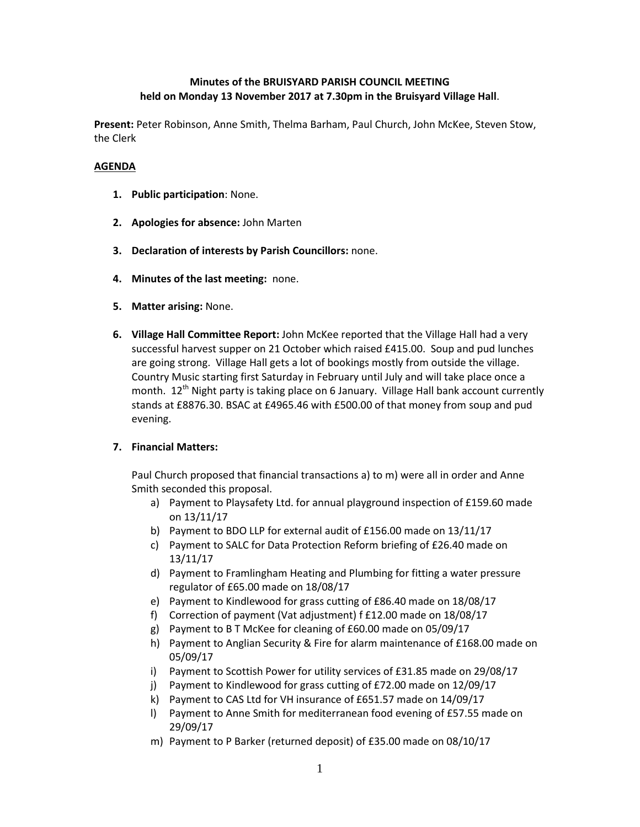# **Minutes of the BRUISYARD PARISH COUNCIL MEETING held on Monday 13 November 2017 at 7.30pm in the Bruisyard Village Hall**.

**Present:** Peter Robinson, Anne Smith, Thelma Barham, Paul Church, John McKee, Steven Stow, the Clerk

### **AGENDA**

- **1. Public participation**: None.
- **2. Apologies for absence:** John Marten
- **3. Declaration of interests by Parish Councillors:** none.
- **4. Minutes of the last meeting:** none.
- **5. Matter arising:** None.
- **6. Village Hall Committee Report:** John McKee reported that the Village Hall had a very successful harvest supper on 21 October which raised £415.00. Soup and pud lunches are going strong. Village Hall gets a lot of bookings mostly from outside the village. Country Music starting first Saturday in February until July and will take place once a month.  $12^{th}$  Night party is taking place on 6 January. Village Hall bank account currently stands at £8876.30. BSAC at £4965.46 with £500.00 of that money from soup and pud evening.

## **7. Financial Matters:**

Paul Church proposed that financial transactions a) to m) were all in order and Anne Smith seconded this proposal.

- a) Payment to Playsafety Ltd. for annual playground inspection of £159.60 made on 13/11/17
- b) Payment to BDO LLP for external audit of £156.00 made on 13/11/17
- c) Payment to SALC for Data Protection Reform briefing of £26.40 made on 13/11/17
- d) Payment to Framlingham Heating and Plumbing for fitting a water pressure regulator of £65.00 made on 18/08/17
- e) Payment to Kindlewood for grass cutting of £86.40 made on 18/08/17
- f) Correction of payment (Vat adjustment) f £12.00 made on 18/08/17
- g) Payment to B T McKee for cleaning of £60.00 made on 05/09/17
- h) Payment to Anglian Security & Fire for alarm maintenance of £168.00 made on 05/09/17
- i) Payment to Scottish Power for utility services of £31.85 made on 29/08/17
- j) Payment to Kindlewood for grass cutting of £72.00 made on 12/09/17
- k) Payment to CAS Ltd for VH insurance of £651.57 made on 14/09/17
- l) Payment to Anne Smith for mediterranean food evening of £57.55 made on 29/09/17
- m) Payment to P Barker (returned deposit) of £35.00 made on 08/10/17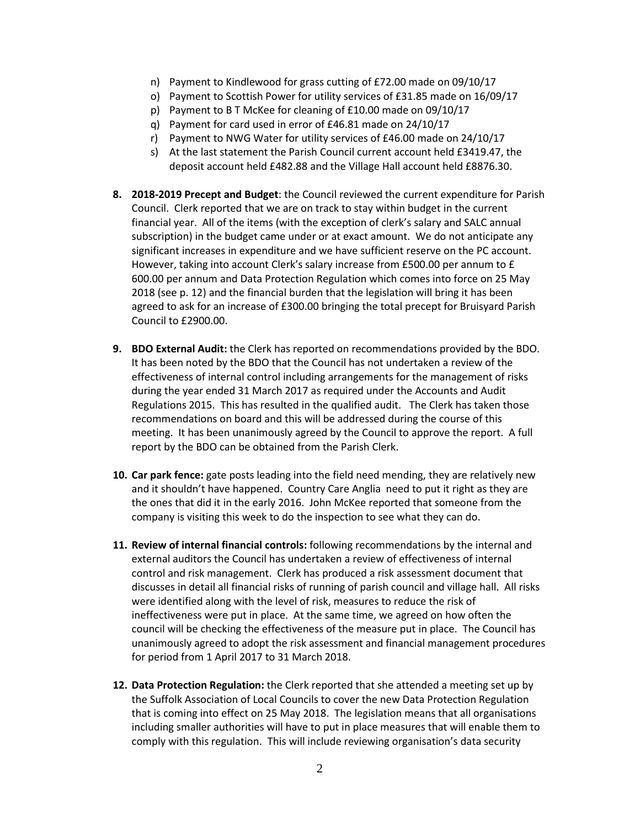- n) Payment to Kindlewood for grass cutting of £72.00 made on 09/10/17
- o) Payment to Scottish Power for utility services of £31.85 made on 16/09/17
- p) Payment to B T McKee for cleaning of £10.00 made on 09/10/17
- q) Payment for card used in error of £46.81 made on 24/10/17
- r) Payment to NWG Water for utility services of £46.00 made on 24/10/17
- s) At the last statement the Parish Council current account held £3419.47, the deposit account held £482.88 and the Village Hall account held £8876.30.
- **8. 2018-2019 Precept and Budget**: the Council reviewed the current expenditure for Parish Council. Clerk reported that we are on track to stay within budget in the current financial year. All of the items (with the exception of clerk's salary and SALC annual subscription) in the budget came under or at exact amount. We do not anticipate any significant increases in expenditure and we have sufficient reserve on the PC account. However, taking into account Clerk's salary increase from £500.00 per annum to  $f$ 600.00 per annum and Data Protection Regulation which comes into force on 25 May 2018 (see p. 12) and the financial burden that the legislation will bring it has been agreed to ask for an increase of £300.00 bringing the total precept for Bruisyard Parish Council to £2900.00.
- **9. BDO External Audit:** the Clerk has reported on recommendations provided by the BDO. It has been noted by the BDO that the Council has not undertaken a review of the effectiveness of internal control including arrangements for the management of risks during the year ended 31 March 2017 as required under the Accounts and Audit Regulations 2015. This has resulted in the qualified audit. The Clerk has taken those recommendations on board and this will be addressed during the course of this meeting. It has been unanimously agreed by the Council to approve the report. A full report by the BDO can be obtained from the Parish Clerk.
- **10. Car park fence:** gate posts leading into the field need mending, they are relatively new and it shouldn't have happened. Country Care Anglia need to put it right as they are the ones that did it in the early 2016. John McKee reported that someone from the company is visiting this week to do the inspection to see what they can do.
- **11. Review of internal financial controls:** following recommendations by the internal and external auditors the Council has undertaken a review of effectiveness of internal control and risk management. Clerk has produced a risk assessment document that discusses in detail all financial risks of running of parish council and village hall. All risks were identified along with the level of risk, measures to reduce the risk of ineffectiveness were put in place. At the same time, we agreed on how often the council will be checking the effectiveness of the measure put in place. The Council has unanimously agreed to adopt the risk assessment and financial management procedures for period from 1 April 2017 to 31 March 2018.
- **12. Data Protection Regulation:** the Clerk reported that she attended a meeting set up by the Suffolk Association of Local Councils to cover the new Data Protection Regulation that is coming into effect on 25 May 2018. The legislation means that all organisations including smaller authorities will have to put in place measures that will enable them to comply with this regulation. This will include reviewing organisation's data security